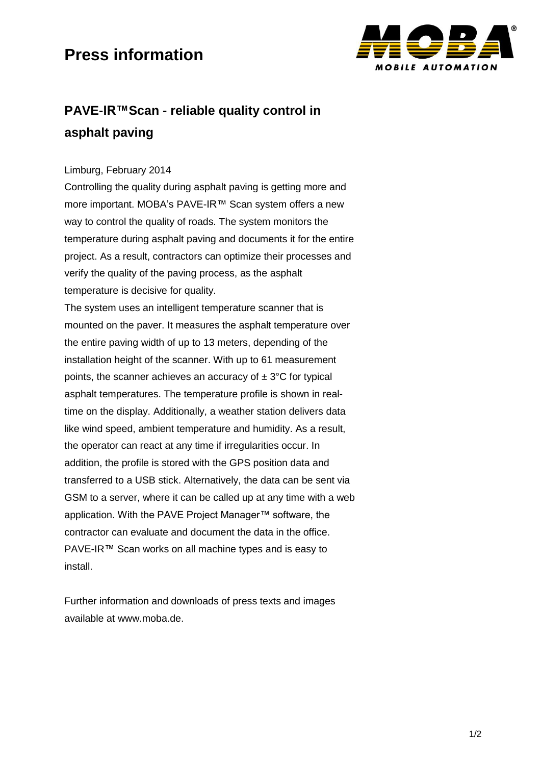## **Press information**



### **PAVE-IR™Scan - reliable quality control in asphalt paving**

#### Limburg, February 2014

Controlling the quality during asphalt paving is getting more and more important. MOBA's PAVE-IR™ Scan system offers a new way to control the quality of roads. The system monitors the temperature during asphalt paving and documents it for the entire project. As a result, contractors can optimize their processes and verify the quality of the paving process, as the asphalt temperature is decisive for quality.

The system uses an intelligent temperature scanner that is mounted on the paver. It measures the asphalt temperature over the entire paving width of up to 13 meters, depending of the installation height of the scanner. With up to 61 measurement points, the scanner achieves an accuracy of  $\pm 3^{\circ}$ C for typical asphalt temperatures. The temperature profile is shown in realtime on the display. Additionally, a weather station delivers data like wind speed, ambient temperature and humidity. As a result, the operator can react at any time if irregularities occur. In addition, the profile is stored with the GPS position data and transferred to a USB stick. Alternatively, the data can be sent via GSM to a server, where it can be called up at any time with a web application. With the PAVE Project Manager™ software, the contractor can evaluate and document the data in the office. PAVE-IR™ Scan works on all machine types and is easy to install.

Further information and downloads of press texts and images available at www.moba.de.